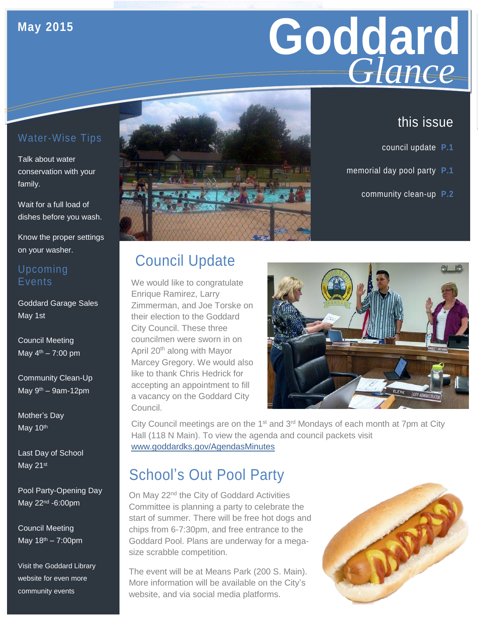### **May 2015**

# Goddard **Giance** *Glance*

## this issue

- council update **P.1**
- memorial day pool party **P.1**
	- community clean-up **P.2**

## Water-Wise Tips

Talk about water conservation with your family.

Wait for a full load of dishes before you wash.

Know the proper settings on your washer.

#### Upcoming Events

Goddard Garage Sales May 1st

Council Meeting May  $4^{th} - 7:00$  pm

Community Clean-Up May  $9<sup>th</sup> - 9$ am-12pm

Mother's Day May 10<sup>th</sup>

Last Day of School May 21st

Pool Party-Opening Day May 22nd -6:00pm

Council Meeting May 18<sup>th</sup> – 7:00pm

Visit the Goddard Library website for even more community events



# Council Update

We would like to congratulate Enrique Ramirez, Larry Zimmerman, and Joe Torske on their election to the Goddard City Council. These three councilmen were sworn in on April 20<sup>th</sup> along with Mayor Marcey Gregory. We would also like to thank Chris Hedrick for accepting an appointment to fill a vacancy on the Goddard City Council.



City Council meetings are on the 1<sup>st</sup> and 3<sup>rd</sup> Mondays of each month at 7pm at City Hall (118 N Main). To view the agenda and council packets visit [www.goddardks.gov/AgendasMinutes](http://www.goddardks.gov/AgendasMinutes)

# School's Out Pool Party

On May 22<sup>nd</sup> the City of Goddard Activities Committee is planning a party to celebrate the start of summer. There will be free hot dogs and chips from 6-7:30pm, and free entrance to the Goddard Pool. Plans are underway for a megasize scrabble competition.

The event will be at Means Park (200 S. Main). More information will be available on the City's website, and via social media platforms.